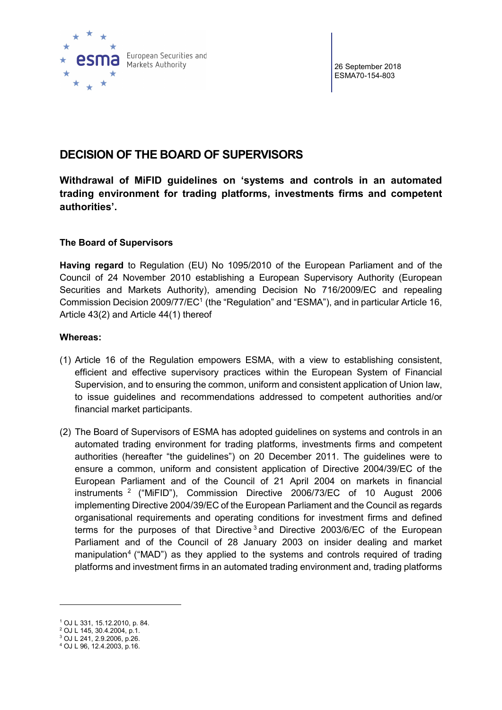

26 September 2018 ESMA70-154-803

# DECISION OF THE BOARD OF SUPERVISORS

Withdrawal of MiFID guidelines on 'systems and controls in an automated trading environment for trading platforms, investments firms and competent authorities'.

# The Board of Supervisors

Having regard to Regulation (EU) No 1095/2010 of the European Parliament and of the Council of 24 November 2010 establishing a European Supervisory Authority (European Securities and Markets Authority), amending Decision No 716/2009/EC and repealing Commission Decision 2009/77/EC<sup>1</sup> (the "Regulation" and "ESMA"), and in particular Article 16, Article 43(2) and Article 44(1) thereof

# Whereas:

- (1) Article 16 of the Regulation empowers ESMA, with a view to establishing consistent, efficient and effective supervisory practices within the European System of Financial Supervision, and to ensuring the common, uniform and consistent application of Union law, to issue guidelines and recommendations addressed to competent authorities and/or financial market participants.
- (2) The Board of Supervisors of ESMA has adopted guidelines on systems and controls in an automated trading environment for trading platforms, investments firms and competent authorities (hereafter "the guidelines") on 20 December 2011. The guidelines were to ensure a common, uniform and consistent application of Directive 2004/39/EC of the European Parliament and of the Council of 21 April 2004 on markets in financial instruments <sup>2</sup> ("MiFID"), Commission Directive 2006/73/EC of 10 August 2006 implementing Directive 2004/39/EC of the European Parliament and the Council as regards organisational requirements and operating conditions for investment firms and defined terms for the purposes of that Directive  $3$  and Directive 2003/6/EC of the European Parliament and of the Council of 28 January 2003 on insider dealing and market manipulation<sup>4</sup> ("MAD") as they applied to the systems and controls required of trading platforms and investment firms in an automated trading environment and, trading platforms

 $\overline{a}$ 

<sup>1</sup> OJ L 331, 15.12.2010, p. 84.

<sup>2</sup> OJ L 145, 30.4.2004, p.1.

<sup>3</sup> OJ L 241, 2.9.2006, p.26.

<sup>4</sup> OJ L 96, 12.4.2003, p.16.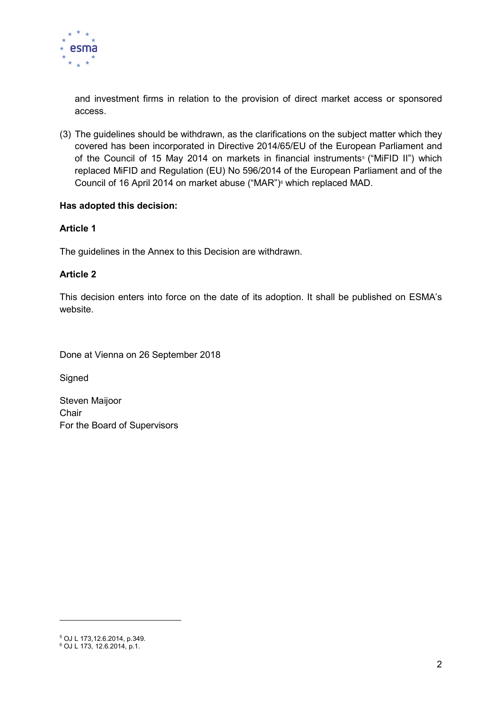

and investment firms in relation to the provision of direct market access or sponsored access.

(3) The guidelines should be withdrawn, as the clarifications on the subject matter which they covered has been incorporated in Directive 2014/65/EU of the European Parliament and of the Council of 15 May 2014 on markets in financial instruments<sup>5</sup> ("MiFID II") which replaced MiFID and Regulation (EU) No 596/2014 of the European Parliament and of the Council of 16 April 2014 on market abuse ("MAR")6 which replaced MAD.

# Has adopted this decision:

# Article 1

The guidelines in the Annex to this Decision are withdrawn.

# Article 2

This decision enters into force on the date of its adoption. It shall be published on ESMA's website.

Done at Vienna on 26 September 2018

**Signed** 

Steven Maijoor **Chair** For the Board of Supervisors

 $\overline{a}$ 

<sup>5</sup> OJ L 173,12.6.2014, p.349.

<sup>6</sup> OJ L 173, 12.6.2014, p.1.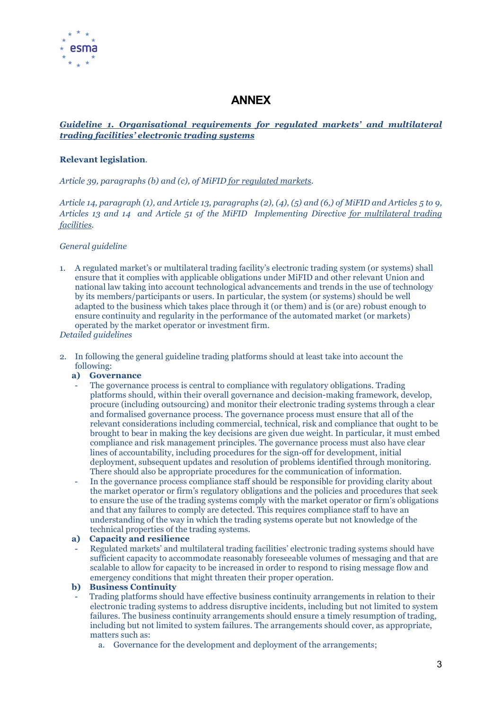

# ANNEX

# Guideline 1. Organisational requirements for regulated markets' and multilateral trading facilities' electronic trading systems

## Relevant legislation.

Article 39, paragraphs (b) and (c), of MiFID for regulated markets.

Article 14, paragraph  $(1)$ , and Article 13, paragraphs  $(2)$ ,  $(4)$ ,  $(5)$  and  $(6)$ , of MiFID and Articles 5 to 9, Articles 13 and 14 and Article 51 of the MiFID Implementing Directive for multilateral trading facilities.

## General guideline

- 1. A regulated market's or multilateral trading facility's electronic trading system (or systems) shall ensure that it complies with applicable obligations under MiFID and other relevant Union and national law taking into account technological advancements and trends in the use of technology by its members/participants or users. In particular, the system (or systems) should be well adapted to the business which takes place through it (or them) and is (or are) robust enough to ensure continuity and regularity in the performance of the automated market (or markets) operated by the market operator or investment firm.
- Detailed guidelines
- 2. In following the general guideline trading platforms should at least take into account the following:
	- a) Governance
	- The governance process is central to compliance with regulatory obligations. Trading platforms should, within their overall governance and decision-making framework, develop, procure (including outsourcing) and monitor their electronic trading systems through a clear and formalised governance process. The governance process must ensure that all of the relevant considerations including commercial, technical, risk and compliance that ought to be brought to bear in making the key decisions are given due weight. In particular, it must embed compliance and risk management principles. The governance process must also have clear lines of accountability, including procedures for the sign-off for development, initial deployment, subsequent updates and resolution of problems identified through monitoring. There should also be appropriate procedures for the communication of information.
	- In the governance process compliance staff should be responsible for providing clarity about the market operator or firm's regulatory obligations and the policies and procedures that seek to ensure the use of the trading systems comply with the market operator or firm's obligations and that any failures to comply are detected. This requires compliance staff to have an understanding of the way in which the trading systems operate but not knowledge of the technical properties of the trading systems.

## a) Capacity and resilience

- Regulated markets' and multilateral trading facilities' electronic trading systems should have sufficient capacity to accommodate reasonably foreseeable volumes of messaging and that are scalable to allow for capacity to be increased in order to respond to rising message flow and emergency conditions that might threaten their proper operation.

## b) Business Continuity

- Trading platforms should have effective business continuity arrangements in relation to their electronic trading systems to address disruptive incidents, including but not limited to system failures. The business continuity arrangements should ensure a timely resumption of trading, including but not limited to system failures. The arrangements should cover, as appropriate, matters such as:
	- a. Governance for the development and deployment of the arrangements;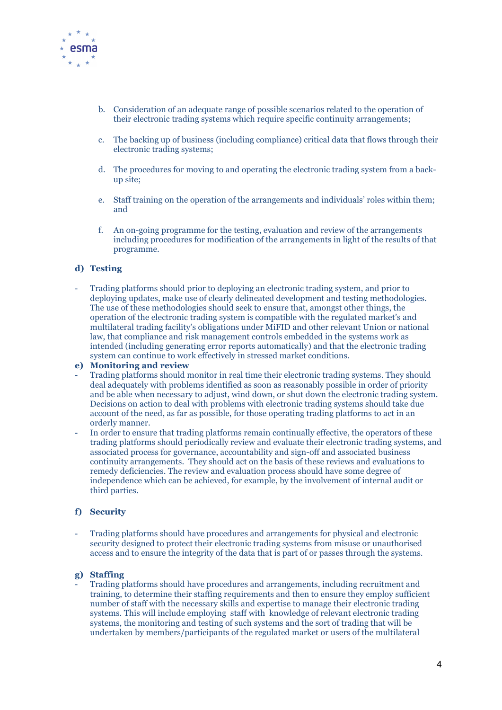

- b. Consideration of an adequate range of possible scenarios related to the operation of their electronic trading systems which require specific continuity arrangements;
- c. The backing up of business (including compliance) critical data that flows through their electronic trading systems;
- d. The procedures for moving to and operating the electronic trading system from a backup site;
- e. Staff training on the operation of the arrangements and individuals' roles within them; and
- f. An on-going programme for the testing, evaluation and review of the arrangements including procedures for modification of the arrangements in light of the results of that programme.

#### d) Testing

- Trading platforms should prior to deploying an electronic trading system, and prior to deploying updates, make use of clearly delineated development and testing methodologies. The use of these methodologies should seek to ensure that, amongst other things, the operation of the electronic trading system is compatible with the regulated market's and multilateral trading facility's obligations under MiFID and other relevant Union or national law, that compliance and risk management controls embedded in the systems work as intended (including generating error reports automatically) and that the electronic trading system can continue to work effectively in stressed market conditions.

#### e) Monitoring and review

- Trading platforms should monitor in real time their electronic trading systems. They should deal adequately with problems identified as soon as reasonably possible in order of priority and be able when necessary to adjust, wind down, or shut down the electronic trading system. Decisions on action to deal with problems with electronic trading systems should take due account of the need, as far as possible, for those operating trading platforms to act in an orderly manner.
- In order to ensure that trading platforms remain continually effective, the operators of these trading platforms should periodically review and evaluate their electronic trading systems, and associated process for governance, accountability and sign-off and associated business continuity arrangements. They should act on the basis of these reviews and evaluations to remedy deficiencies. The review and evaluation process should have some degree of independence which can be achieved, for example, by the involvement of internal audit or third parties.

## f) Security

- Trading platforms should have procedures and arrangements for physical and electronic security designed to protect their electronic trading systems from misuse or unauthorised access and to ensure the integrity of the data that is part of or passes through the systems.

#### g) Staffing

- Trading platforms should have procedures and arrangements, including recruitment and training, to determine their staffing requirements and then to ensure they employ sufficient number of staff with the necessary skills and expertise to manage their electronic trading systems. This will include employing staff with knowledge of relevant electronic trading systems, the monitoring and testing of such systems and the sort of trading that will be undertaken by members/participants of the regulated market or users of the multilateral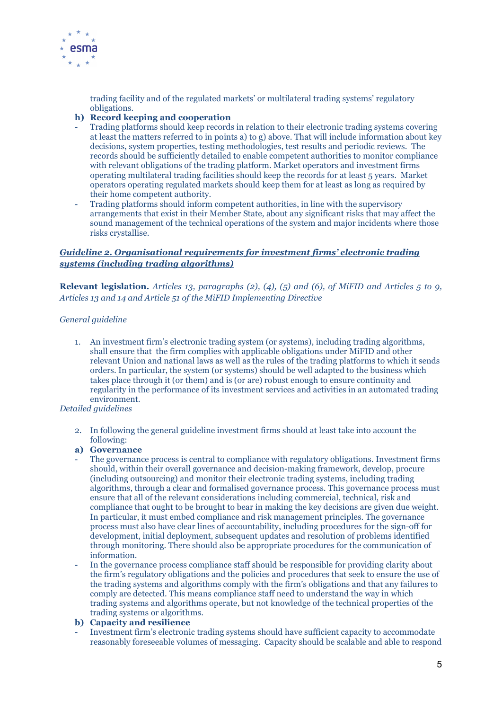

trading facility and of the regulated markets' or multilateral trading systems' regulatory obligations.

## h) Record keeping and cooperation

- Trading platforms should keep records in relation to their electronic trading systems covering at least the matters referred to in points a) to g) above. That will include information about key decisions, system properties, testing methodologies, test results and periodic reviews. The records should be sufficiently detailed to enable competent authorities to monitor compliance with relevant obligations of the trading platform. Market operators and investment firms operating multilateral trading facilities should keep the records for at least 5 years. Market operators operating regulated markets should keep them for at least as long as required by their home competent authority.
- Trading platforms should inform competent authorities, in line with the supervisory arrangements that exist in their Member State, about any significant risks that may affect the sound management of the technical operations of the system and major incidents where those risks crystallise.

## Guideline 2. Organisational requirements for investment firms' electronic trading systems (including trading algorithms)

**Relevant legislation.** Articles 13, paragraphs (2), (4), (5) and (6), of MiFID and Articles 5 to 9, Articles 13 and 14 and Article 51 of the MiFID Implementing Directive

## General guideline

1. An investment firm's electronic trading system (or systems), including trading algorithms, shall ensure that the firm complies with applicable obligations under MiFID and other relevant Union and national laws as well as the rules of the trading platforms to which it sends orders. In particular, the system (or systems) should be well adapted to the business which takes place through it (or them) and is (or are) robust enough to ensure continuity and regularity in the performance of its investment services and activities in an automated trading environment.

## Detailed guidelines

2. In following the general guideline investment firms should at least take into account the following:

## a) Governance

- The governance process is central to compliance with regulatory obligations. Investment firms should, within their overall governance and decision-making framework, develop, procure (including outsourcing) and monitor their electronic trading systems, including trading algorithms, through a clear and formalised governance process. This governance process must ensure that all of the relevant considerations including commercial, technical, risk and compliance that ought to be brought to bear in making the key decisions are given due weight. In particular, it must embed compliance and risk management principles. The governance process must also have clear lines of accountability, including procedures for the sign-off for development, initial deployment, subsequent updates and resolution of problems identified through monitoring. There should also be appropriate procedures for the communication of information.
- In the governance process compliance staff should be responsible for providing clarity about the firm's regulatory obligations and the policies and procedures that seek to ensure the use of the trading systems and algorithms comply with the firm's obligations and that any failures to comply are detected. This means compliance staff need to understand the way in which trading systems and algorithms operate, but not knowledge of the technical properties of the trading systems or algorithms.

## b) Capacity and resilience

- Investment firm's electronic trading systems should have sufficient capacity to accommodate reasonably foreseeable volumes of messaging. Capacity should be scalable and able to respond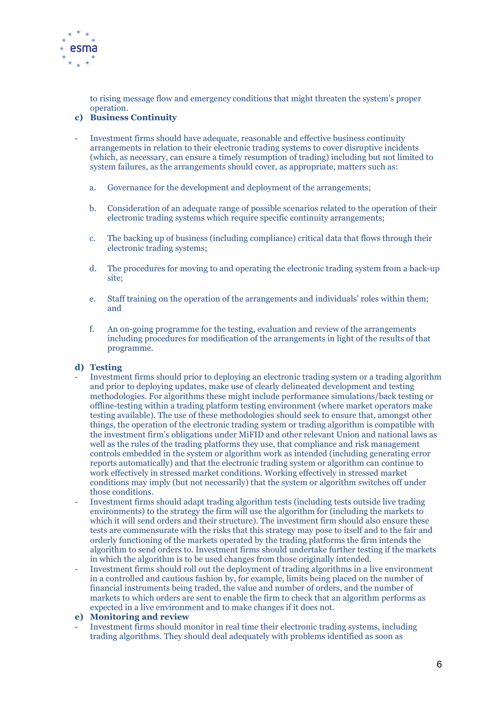

to rising message flow and emergency conditions that might threaten the system's proper operation.

## c) Business Continuity

- Investment firms should have adequate, reasonable and effective business continuity arrangements in relation to their electronic trading systems to cover disruptive incidents (which, as necessary, can ensure a timely resumption of trading) including but not limited to system failures, as the arrangements should cover, as appropriate, matters such as:
	- a. Governance for the development and deployment of the arrangements;
	- b. Consideration of an adequate range of possible scenarios related to the operation of their electronic trading systems which require specific continuity arrangements;
	- c. The backing up of business (including compliance) critical data that flows through their electronic trading systems;
	- d. The procedures for moving to and operating the electronic trading system from a back-up site;
	- e. Staff training on the operation of the arrangements and individuals' roles within them; and
	- f. An on-going programme for the testing, evaluation and review of the arrangements including procedures for modification of the arrangements in light of the results of that programme.

## d) Testing

- Investment firms should prior to deploying an electronic trading system or a trading algorithm and prior to deploying updates, make use of clearly delineated development and testing methodologies. For algorithms these might include performance simulations/back testing or offline-testing within a trading platform testing environment (where market operators make testing available). The use of these methodologies should seek to ensure that, amongst other things, the operation of the electronic trading system or trading algorithm is compatible with the investment firm's obligations under MiFID and other relevant Union and national laws as well as the rules of the trading platforms they use, that compliance and risk management controls embedded in the system or algorithm work as intended (including generating error reports automatically) and that the electronic trading system or algorithm can continue to work effectively in stressed market conditions. Working effectively in stressed market conditions may imply (but not necessarily) that the system or algorithm switches off under those conditions.
- Investment firms should adapt trading algorithm tests (including tests outside live trading environments) to the strategy the firm will use the algorithm for (including the markets to which it will send orders and their structure). The investment firm should also ensure these tests are commensurate with the risks that this strategy may pose to itself and to the fair and orderly functioning of the markets operated by the trading platforms the firm intends the algorithm to send orders to. Investment firms should undertake further testing if the markets in which the algorithm is to be used changes from those originally intended.
- Investment firms should roll out the deployment of trading algorithms in a live environment in a controlled and cautious fashion by, for example, limits being placed on the number of financial instruments being traded, the value and number of orders, and the number of markets to which orders are sent to enable the firm to check that an algorithm performs as expected in a live environment and to make changes if it does not.

#### e) Monitoring and review

- Investment firms should monitor in real time their electronic trading systems, including trading algorithms. They should deal adequately with problems identified as soon as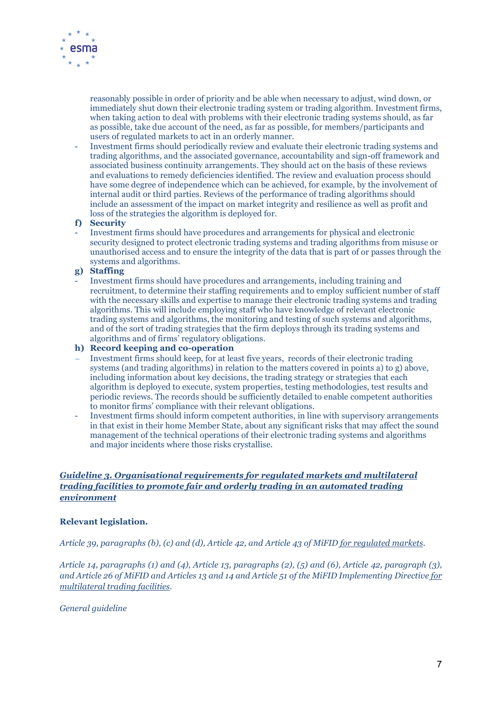

reasonably possible in order of priority and be able when necessary to adjust, wind down, or immediately shut down their electronic trading system or trading algorithm. Investment firms, when taking action to deal with problems with their electronic trading systems should, as far as possible, take due account of the need, as far as possible, for members/participants and users of regulated markets to act in an orderly manner.

- Investment firms should periodically review and evaluate their electronic trading systems and trading algorithms, and the associated governance, accountability and sign-off framework and associated business continuity arrangements. They should act on the basis of these reviews and evaluations to remedy deficiencies identified. The review and evaluation process should have some degree of independence which can be achieved, for example, by the involvement of internal audit or third parties. Reviews of the performance of trading algorithms should include an assessment of the impact on market integrity and resilience as well as profit and loss of the strategies the algorithm is deployed for.

#### f) Security

- Investment firms should have procedures and arrangements for physical and electronic security designed to protect electronic trading systems and trading algorithms from misuse or unauthorised access and to ensure the integrity of the data that is part of or passes through the systems and algorithms.

## g) Staffing

- Investment firms should have procedures and arrangements, including training and recruitment, to determine their staffing requirements and to employ sufficient number of staff with the necessary skills and expertise to manage their electronic trading systems and trading algorithms. This will include employing staff who have knowledge of relevant electronic trading systems and algorithms, the monitoring and testing of such systems and algorithms, and of the sort of trading strategies that the firm deploys through its trading systems and algorithms and of firms' regulatory obligations.

#### h) Record keeping and co-operation

- Investment firms should keep, for at least five years, records of their electronic trading systems (and trading algorithms) in relation to the matters covered in points a) to g) above, including information about key decisions, the trading strategy or strategies that each algorithm is deployed to execute, system properties, testing methodologies, test results and periodic reviews. The records should be sufficiently detailed to enable competent authorities to monitor firms' compliance with their relevant obligations.
- Investment firms should inform competent authorities, in line with supervisory arrangements in that exist in their home Member State, about any significant risks that may affect the sound management of the technical operations of their electronic trading systems and algorithms and major incidents where those risks crystallise.

## Guideline 3. Organisational requirements for regulated markets and multilateral trading facilities to promote fair and orderly trading in an automated trading environment

## Relevant legislation.

Article 39, paragraphs (b), (c) and (d), Article 42, and Article 43 of MiFID for regulated markets.

Article 14, paragraphs (1) and (4), Article 13, paragraphs (2), (5) and (6), Article 42, paragraph (3), and Article 26 of MiFID and Articles 13 and 14 and Article 51 of the MiFID Implementing Directive for multilateral trading facilities.

#### General guideline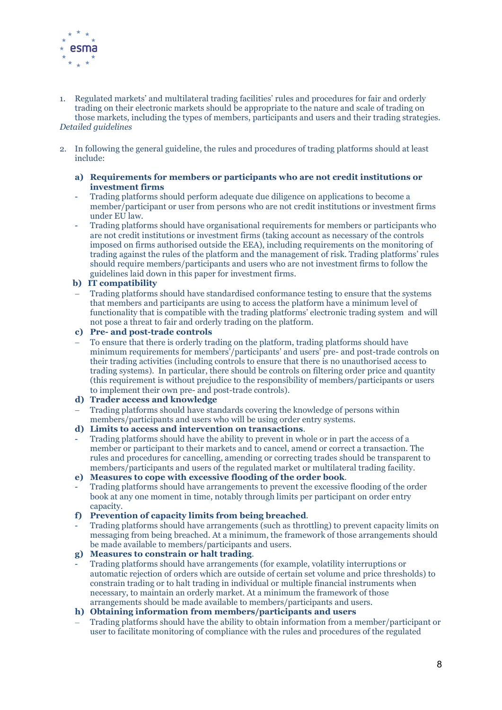

- 1. Regulated markets' and multilateral trading facilities' rules and procedures for fair and orderly trading on their electronic markets should be appropriate to the nature and scale of trading on those markets, including the types of members, participants and users and their trading strategies. Detailed guidelines
- 2. In following the general guideline, the rules and procedures of trading platforms should at least include:

#### a) Requirements for members or participants who are not credit institutions or investment firms

- Trading platforms should perform adequate due diligence on applications to become a member/participant or user from persons who are not credit institutions or investment firms under EU law.
- Trading platforms should have organisational requirements for members or participants who are not credit institutions or investment firms (taking account as necessary of the controls imposed on firms authorised outside the EEA), including requirements on the monitoring of trading against the rules of the platform and the management of risk. Trading platforms' rules should require members/participants and users who are not investment firms to follow the guidelines laid down in this paper for investment firms.

## b) IT compatibility

- Trading platforms should have standardised conformance testing to ensure that the systems that members and participants are using to access the platform have a minimum level of functionality that is compatible with the trading platforms' electronic trading system and will not pose a threat to fair and orderly trading on the platform.
- c) Pre- and post-trade controls
- To ensure that there is orderly trading on the platform, trading platforms should have minimum requirements for members'/participants' and users' pre- and post-trade controls on their trading activities (including controls to ensure that there is no unauthorised access to trading systems). In particular, there should be controls on filtering order price and quantity (this requirement is without prejudice to the responsibility of members/participants or users to implement their own pre- and post-trade controls).

## d) Trader access and knowledge

- Trading platforms should have standards covering the knowledge of persons within members/participants and users who will be using order entry systems.
- d) Limits to access and intervention on transactions.
- Trading platforms should have the ability to prevent in whole or in part the access of a member or participant to their markets and to cancel, amend or correct a transaction. The rules and procedures for cancelling, amending or correcting trades should be transparent to members/participants and users of the regulated market or multilateral trading facility.

## e) Measures to cope with excessive flooding of the order book.

- Trading platforms should have arrangements to prevent the excessive flooding of the order book at any one moment in time, notably through limits per participant on order entry capacity.
- f) Prevention of capacity limits from being breached.
- Trading platforms should have arrangements (such as throttling) to prevent capacity limits on messaging from being breached. At a minimum, the framework of those arrangements should be made available to members/participants and users.
- g) Measures to constrain or halt trading.
- Trading platforms should have arrangements (for example, volatility interruptions or automatic rejection of orders which are outside of certain set volume and price thresholds) to constrain trading or to halt trading in individual or multiple financial instruments when necessary, to maintain an orderly market. At a minimum the framework of those arrangements should be made available to members/participants and users.
- h) Obtaining information from members/participants and users
- Trading platforms should have the ability to obtain information from a member/participant or user to facilitate monitoring of compliance with the rules and procedures of the regulated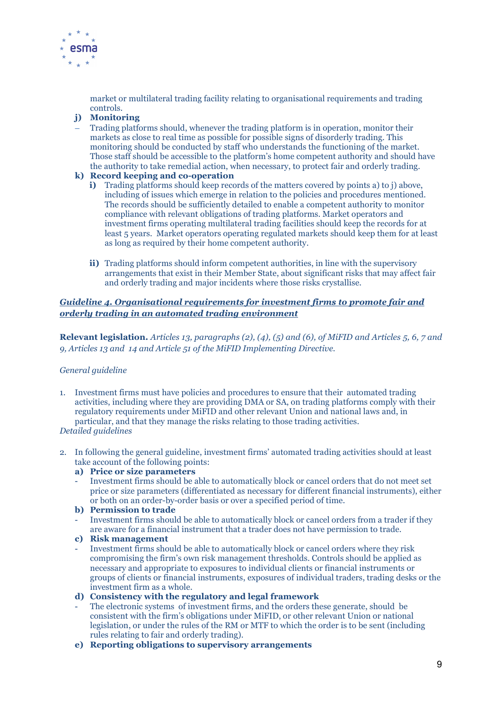

market or multilateral trading facility relating to organisational requirements and trading controls.

# j) Monitoring

 Trading platforms should, whenever the trading platform is in operation, monitor their markets as close to real time as possible for possible signs of disorderly trading. This monitoring should be conducted by staff who understands the functioning of the market. Those staff should be accessible to the platform's home competent authority and should have the authority to take remedial action, when necessary, to protect fair and orderly trading.

## k) Record keeping and co-operation

- i) Trading platforms should keep records of the matters covered by points a) to j) above, including of issues which emerge in relation to the policies and procedures mentioned. The records should be sufficiently detailed to enable a competent authority to monitor compliance with relevant obligations of trading platforms. Market operators and investment firms operating multilateral trading facilities should keep the records for at least 5 years. Market operators operating regulated markets should keep them for at least as long as required by their home competent authority.
- ii) Trading platforms should inform competent authorities, in line with the supervisory arrangements that exist in their Member State, about significant risks that may affect fair and orderly trading and major incidents where those risks crystallise.

## Guideline 4. Organisational requirements for investment firms to promote fair and orderly trading in an automated trading environment

Relevant legislation. Articles 13, paragraphs (2), (4), (5) and (6), of MiFID and Articles 5, 6, 7 and 9, Articles 13 and 14 and Article 51 of the MiFID Implementing Directive.

## General guideline

- 1. Investment firms must have policies and procedures to ensure that their automated trading activities, including where they are providing DMA or SA, on trading platforms comply with their regulatory requirements under MiFID and other relevant Union and national laws and, in particular, and that they manage the risks relating to those trading activities. Detailed guidelines
- 2. In following the general guideline, investment firms' automated trading activities should at least take account of the following points:

## a) Price or size parameters

- Investment firms should be able to automatically block or cancel orders that do not meet set price or size parameters (differentiated as necessary for different financial instruments), either or both on an order-by-order basis or over a specified period of time.
- b) Permission to trade
- Investment firms should be able to automatically block or cancel orders from a trader if they are aware for a financial instrument that a trader does not have permission to trade.
- c) Risk management
- Investment firms should be able to automatically block or cancel orders where they risk compromising the firm's own risk management thresholds. Controls should be applied as necessary and appropriate to exposures to individual clients or financial instruments or groups of clients or financial instruments, exposures of individual traders, trading desks or the investment firm as a whole.
- d) Consistency with the regulatory and legal framework
- The electronic systems of investment firms, and the orders these generate, should be consistent with the firm's obligations under MiFID, or other relevant Union or national legislation, or under the rules of the RM or MTF to which the order is to be sent (including rules relating to fair and orderly trading).
- e) Reporting obligations to supervisory arrangements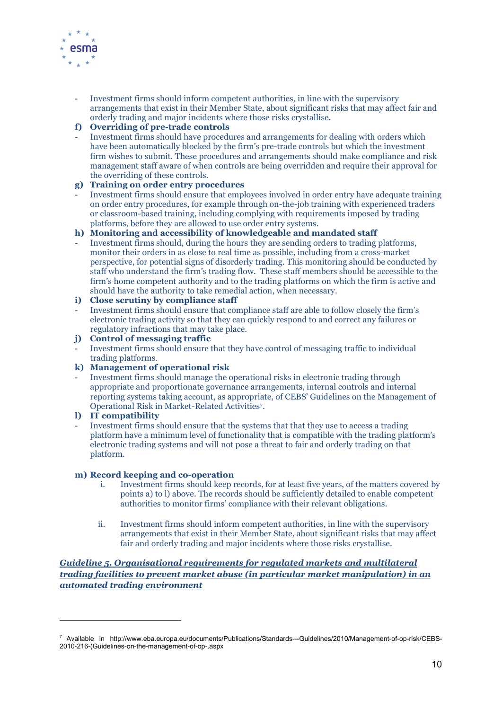

- Investment firms should inform competent authorities, in line with the supervisory arrangements that exist in their Member State, about significant risks that may affect fair and orderly trading and major incidents where those risks crystallise.

# f) Overriding of pre-trade controls

- Investment firms should have procedures and arrangements for dealing with orders which have been automatically blocked by the firm's pre-trade controls but which the investment firm wishes to submit. These procedures and arrangements should make compliance and risk management staff aware of when controls are being overridden and require their approval for the overriding of these controls.

## g) Training on order entry procedures

- Investment firms should ensure that employees involved in order entry have adequate training on order entry procedures, for example through on-the-job training with experienced traders or classroom-based training, including complying with requirements imposed by trading platforms, before they are allowed to use order entry systems.

## h) Monitoring and accessibility of knowledgeable and mandated staff

- Investment firms should, during the hours they are sending orders to trading platforms, monitor their orders in as close to real time as possible, including from a cross-market perspective, for potential signs of disorderly trading. This monitoring should be conducted by staff who understand the firm's trading flow. These staff members should be accessible to the firm's home competent authority and to the trading platforms on which the firm is active and should have the authority to take remedial action, when necessary.

## i) Close scrutiny by compliance staff

- Investment firms should ensure that compliance staff are able to follow closely the firm's electronic trading activity so that they can quickly respond to and correct any failures or regulatory infractions that may take place.

## j) Control of messaging traffic

- Investment firms should ensure that they have control of messaging traffic to individual trading platforms.

## k) Management of operational risk

- Investment firms should manage the operational risks in electronic trading through appropriate and proportionate governance arrangements, internal controls and internal reporting systems taking account, as appropriate, of CEBS' Guidelines on the Management of Operational Risk in Market-Related Activities<sup>7</sup> .

# l) IT compatibility

 $\overline{a}$ 

- Investment firms should ensure that the systems that that they use to access a trading platform have a minimum level of functionality that is compatible with the trading platform's electronic trading systems and will not pose a threat to fair and orderly trading on that platform.

## m) Record keeping and co-operation

- i. Investment firms should keep records, for at least five years, of the matters covered by points a) to l) above. The records should be sufficiently detailed to enable competent authorities to monitor firms' compliance with their relevant obligations.
- ii. Investment firms should inform competent authorities, in line with the supervisory arrangements that exist in their Member State, about significant risks that may affect fair and orderly trading and major incidents where those risks crystallise.

## Guideline 5. Organisational requirements for regulated markets and multilateral trading facilities to prevent market abuse (in particular market manipulation) in an automated trading environment

<sup>7</sup> Available in http://www.eba.europa.eu/documents/Publications/Standards---Guidelines/2010/Management-of-op-risk/CEBS-2010-216-(Guidelines-on-the-management-of-op-.aspx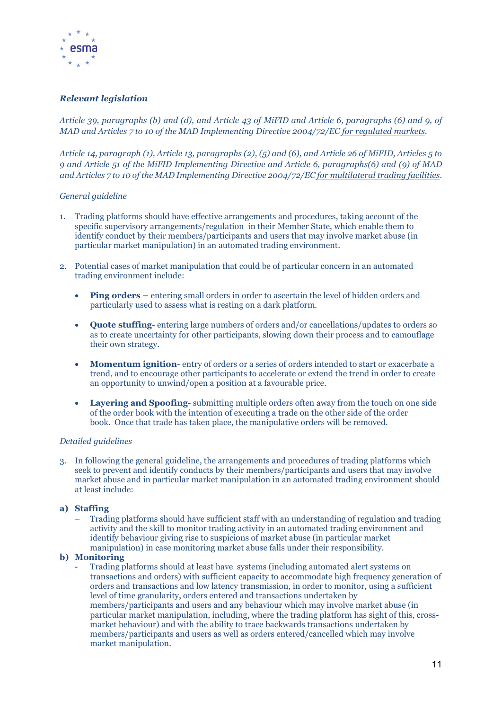

## Relevant legislation

Article 39, paragraphs (b) and (d), and Article 43 of MiFID and Article 6, paragraphs (6) and 9, of MAD and Articles 7 to 10 of the MAD Implementing Directive 2004/72/EC for regulated markets.

Article 14, paragraph (1), Article 13, paragraphs (2), (5) and (6), and Article 26 of MiFID, Articles 5 to 9 and Article 51 of the MiFID Implementing Directive and Article 6, paragraphs(6) and (9) of MAD and Articles 7 to 10 of the MAD Implementing Directive 2004/72/EC for multilateral trading facilities.

#### General guideline

- 1. Trading platforms should have effective arrangements and procedures, taking account of the specific supervisory arrangements/regulation in their Member State, which enable them to identify conduct by their members/participants and users that may involve market abuse (in particular market manipulation) in an automated trading environment.
- 2. Potential cases of market manipulation that could be of particular concern in an automated trading environment include:
	- Ping orders entering small orders in order to ascertain the level of hidden orders and particularly used to assess what is resting on a dark platform.
	- Quote stuffing- entering large numbers of orders and/or cancellations/updates to orders so as to create uncertainty for other participants, slowing down their process and to camouflage their own strategy.
	- Momentum ignition-entry of orders or a series of orders intended to start or exacerbate a trend, and to encourage other participants to accelerate or extend the trend in order to create an opportunity to unwind/open a position at a favourable price.
	- Layering and Spoofing- submitting multiple orders often away from the touch on one side of the order book with the intention of executing a trade on the other side of the order book. Once that trade has taken place, the manipulative orders will be removed.

#### Detailed guidelines

3. In following the general guideline, the arrangements and procedures of trading platforms which seek to prevent and identify conducts by their members/participants and users that may involve market abuse and in particular market manipulation in an automated trading environment should at least include:

## a) Staffing

 Trading platforms should have sufficient staff with an understanding of regulation and trading activity and the skill to monitor trading activity in an automated trading environment and identify behaviour giving rise to suspicions of market abuse (in particular market manipulation) in case monitoring market abuse falls under their responsibility.

## b) Monitoring

- Trading platforms should at least have systems (including automated alert systems on transactions and orders) with sufficient capacity to accommodate high frequency generation of orders and transactions and low latency transmission, in order to monitor, using a sufficient level of time granularity, orders entered and transactions undertaken by members/participants and users and any behaviour which may involve market abuse (in particular market manipulation, including, where the trading platform has sight of this, crossmarket behaviour) and with the ability to trace backwards transactions undertaken by members/participants and users as well as orders entered/cancelled which may involve market manipulation.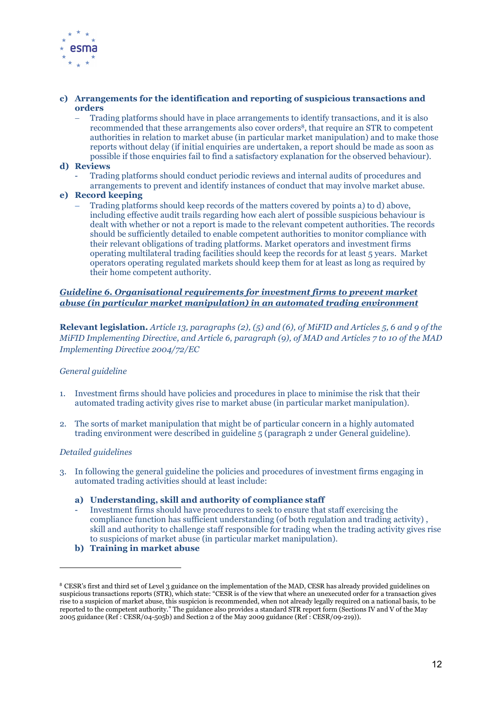

#### c) Arrangements for the identification and reporting of suspicious transactions and orders

 Trading platforms should have in place arrangements to identify transactions, and it is also recommended that these arrangements also cover orders<sup>8</sup>, that require an STR to competent authorities in relation to market abuse (in particular market manipulation) and to make those reports without delay (if initial enquiries are undertaken, a report should be made as soon as possible if those enquiries fail to find a satisfactory explanation for the observed behaviour).

#### d) Reviews

- Trading platforms should conduct periodic reviews and internal audits of procedures and arrangements to prevent and identify instances of conduct that may involve market abuse.

#### e) Record keeping

 Trading platforms should keep records of the matters covered by points a) to d) above, including effective audit trails regarding how each alert of possible suspicious behaviour is dealt with whether or not a report is made to the relevant competent authorities. The records should be sufficiently detailed to enable competent authorities to monitor compliance with their relevant obligations of trading platforms. Market operators and investment firms operating multilateral trading facilities should keep the records for at least 5 years. Market operators operating regulated markets should keep them for at least as long as required by their home competent authority.

## Guideline 6. Organisational requirements for investment firms to prevent market abuse (in particular market manipulation) in an automated trading environment

Relevant legislation. Article 13, paragraphs (2), (5) and (6), of MiFID and Articles 5, 6 and 9 of the MiFID Implementing Directive, and Article 6, paragraph (9), of MAD and Articles 7 to 10 of the MAD Implementing Directive 2004/72/EC

## General guideline

- 1. Investment firms should have policies and procedures in place to minimise the risk that their automated trading activity gives rise to market abuse (in particular market manipulation).
- 2. The sorts of market manipulation that might be of particular concern in a highly automated trading environment were described in guideline 5 (paragraph 2 under General guideline).

#### Detailed guidelines

 $\overline{a}$ 

- 3. In following the general guideline the policies and procedures of investment firms engaging in automated trading activities should at least include:
	- a) Understanding, skill and authority of compliance staff
	- Investment firms should have procedures to seek to ensure that staff exercising the compliance function has sufficient understanding (of both regulation and trading activity) , skill and authority to challenge staff responsible for trading when the trading activity gives rise to suspicions of market abuse (in particular market manipulation).
	- b) Training in market abuse

<sup>&</sup>lt;sup>8</sup> CESR's first and third set of Level 3 guidance on the implementation of the MAD, CESR has already provided guidelines on suspicious transactions reports (STR), which state: "CESR is of the view that where an unexecuted order for a transaction gives rise to a suspicion of market abuse, this suspicion is recommended, when not already legally required on a national basis, to be reported to the competent authority." The guidance also provides a standard STR report form (Sections IV and V of the May 2005 guidance (Ref : CESR/04-505b) and Section 2 of the May 2009 guidance (Ref : CESR/09-219)).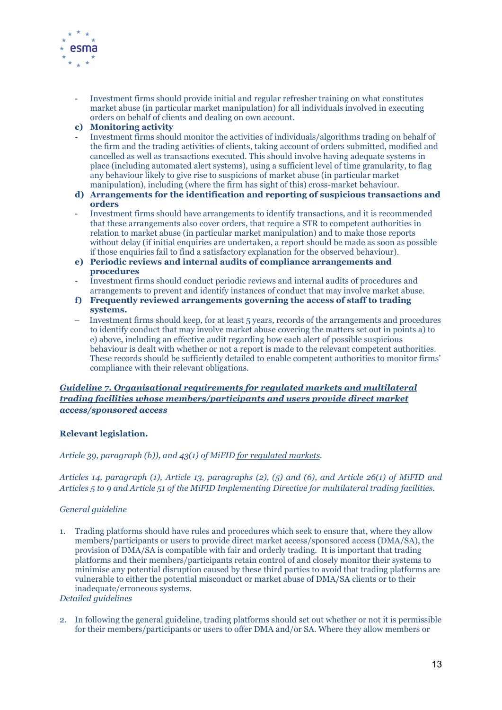

- Investment firms should provide initial and regular refresher training on what constitutes market abuse (in particular market manipulation) for all individuals involved in executing orders on behalf of clients and dealing on own account.
- c) Monitoring activity
- Investment firms should monitor the activities of individuals/algorithms trading on behalf of the firm and the trading activities of clients, taking account of orders submitted, modified and cancelled as well as transactions executed. This should involve having adequate systems in place (including automated alert systems), using a sufficient level of time granularity, to flag any behaviour likely to give rise to suspicions of market abuse (in particular market manipulation), including (where the firm has sight of this) cross-market behaviour.
- d) Arrangements for the identification and reporting of suspicious transactions and orders
- Investment firms should have arrangements to identify transactions, and it is recommended that these arrangements also cover orders, that require a STR to competent authorities in relation to market abuse (in particular market manipulation) and to make those reports without delay (if initial enquiries are undertaken, a report should be made as soon as possible if those enquiries fail to find a satisfactory explanation for the observed behaviour).
- e) Periodic reviews and internal audits of compliance arrangements and procedures
- Investment firms should conduct periodic reviews and internal audits of procedures and arrangements to prevent and identify instances of conduct that may involve market abuse.
- f) Frequently reviewed arrangements governing the access of staff to trading systems.
- Investment firms should keep, for at least 5 years, records of the arrangements and procedures to identify conduct that may involve market abuse covering the matters set out in points a) to e) above, including an effective audit regarding how each alert of possible suspicious behaviour is dealt with whether or not a report is made to the relevant competent authorities. These records should be sufficiently detailed to enable competent authorities to monitor firms' compliance with their relevant obligations.

## Guideline 7. Organisational requirements for regulated markets and multilateral trading facilities whose members/participants and users provide direct market access/sponsored access

## Relevant legislation.

Article 39, paragraph (b)), and 43(1) of MiFID for regulated markets.

Articles 14, paragraph (1), Article 13, paragraphs (2), (5) and (6), and Article 26(1) of MiFID and Articles 5 to 9 and Article 51 of the MiFID Implementing Directive for multilateral trading facilities.

#### General guideline

1. Trading platforms should have rules and procedures which seek to ensure that, where they allow members/participants or users to provide direct market access/sponsored access (DMA/SA), the provision of DMA/SA is compatible with fair and orderly trading. It is important that trading platforms and their members/participants retain control of and closely monitor their systems to minimise any potential disruption caused by these third parties to avoid that trading platforms are vulnerable to either the potential misconduct or market abuse of DMA/SA clients or to their inadequate/erroneous systems.

Detailed guidelines

2. In following the general guideline, trading platforms should set out whether or not it is permissible for their members/participants or users to offer DMA and/or SA. Where they allow members or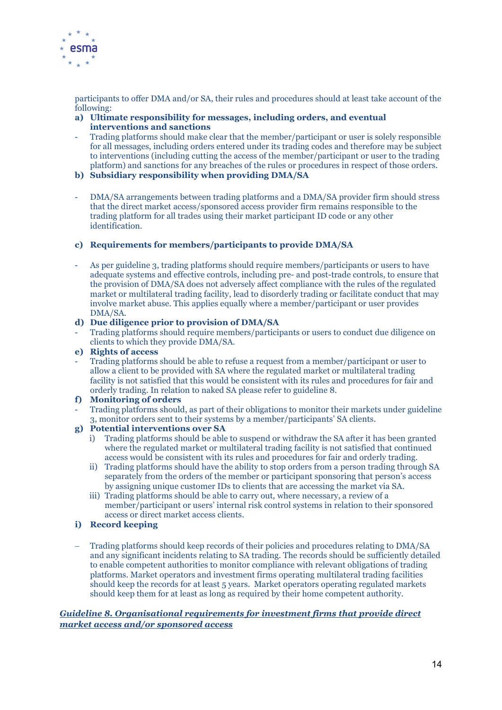

participants to offer DMA and/or SA, their rules and procedures should at least take account of the following:

- a) Ultimate responsibility for messages, including orders, and eventual interventions and sanctions
- Trading platforms should make clear that the member/participant or user is solely responsible for all messages, including orders entered under its trading codes and therefore may be subject to interventions (including cutting the access of the member/participant or user to the trading platform) and sanctions for any breaches of the rules or procedures in respect of those orders.
- b) Subsidiary responsibility when providing DMA/SA
- DMA/SA arrangements between trading platforms and a DMA/SA provider firm should stress that the direct market access/sponsored access provider firm remains responsible to the trading platform for all trades using their market participant ID code or any other identification.

## c) Requirements for members/participants to provide DMA/SA

- As per guideline 3, trading platforms should require members/participants or users to have adequate systems and effective controls, including pre- and post-trade controls, to ensure that the provision of DMA/SA does not adversely affect compliance with the rules of the regulated market or multilateral trading facility, lead to disorderly trading or facilitate conduct that may involve market abuse. This applies equally where a member/participant or user provides DMA/SA.
- d) Due diligence prior to provision of DMA/SA
- Trading platforms should require members/participants or users to conduct due diligence on clients to which they provide DMA/SA.
- e) Rights of access
- Trading platforms should be able to refuse a request from a member/participant or user to allow a client to be provided with SA where the regulated market or multilateral trading facility is not satisfied that this would be consistent with its rules and procedures for fair and orderly trading. In relation to naked SA please refer to guideline 8.

## f) Monitoring of orders

- Trading platforms should, as part of their obligations to monitor their markets under guideline 3, monitor orders sent to their systems by a member/participants' SA clients.

## g) Potential interventions over SA

- i) Trading platforms should be able to suspend or withdraw the SA after it has been granted where the regulated market or multilateral trading facility is not satisfied that continued access would be consistent with its rules and procedures for fair and orderly trading.
- ii) Trading platforms should have the ability to stop orders from a person trading through SA separately from the orders of the member or participant sponsoring that person's access by assigning unique customer IDs to clients that are accessing the market via SA.
- iii) Trading platforms should be able to carry out, where necessary, a review of a member/participant or users' internal risk control systems in relation to their sponsored access or direct market access clients.
- i) Record keeping
- Trading platforms should keep records of their policies and procedures relating to DMA/SA and any significant incidents relating to SA trading. The records should be sufficiently detailed to enable competent authorities to monitor compliance with relevant obligations of trading platforms. Market operators and investment firms operating multilateral trading facilities should keep the records for at least 5 years. Market operators operating regulated markets should keep them for at least as long as required by their home competent authority.

#### Guideline 8. Organisational requirements for investment firms that provide direct market access and/or sponsored access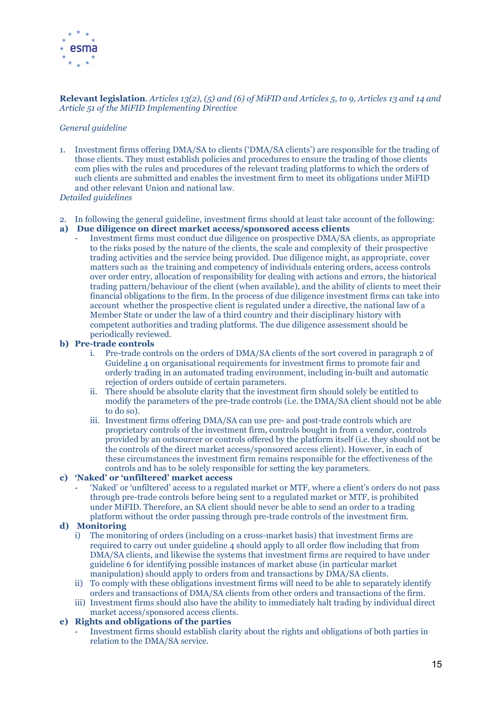

#### Relevant legislation. Articles 13(2), (5) and (6) of MiFID and Articles 5, to 9, Articles 13 and 14 and Article 51 of the MiFID Implementing Directive

#### General guideline

1. Investment firms offering DMA/SA to clients ('DMA/SA clients') are responsible for the trading of those clients. They must establish policies and procedures to ensure the trading of those clients com plies with the rules and procedures of the relevant trading platforms to which the orders of such clients are submitted and enables the investment firm to meet its obligations under MiFID and other relevant Union and national law.

#### Detailed guidelines

2. In following the general guideline, investment firms should at least take account of the following:

#### a) Due diligence on direct market access/sponsored access clients

- Investment firms must conduct due diligence on prospective DMA/SA clients, as appropriate to the risks posed by the nature of the clients, the scale and complexity of their prospective trading activities and the service being provided. Due diligence might, as appropriate, cover matters such as the training and competency of individuals entering orders, access controls over order entry, allocation of responsibility for dealing with actions and errors, the historical trading pattern/behaviour of the client (when available), and the ability of clients to meet their financial obligations to the firm. In the process of due diligence investment firms can take into account whether the prospective client is regulated under a directive, the national law of a Member State or under the law of a third country and their disciplinary history with competent authorities and trading platforms. The due diligence assessment should be periodically reviewed.

#### b) Pre-trade controls

- i. Pre-trade controls on the orders of DMA/SA clients of the sort covered in paragraph 2 of Guideline 4 on organisational requirements for investment firms to promote fair and orderly trading in an automated trading environment, including in-built and automatic rejection of orders outside of certain parameters.
- ii. There should be absolute clarity that the investment firm should solely be entitled to modify the parameters of the pre-trade controls (i.e. the DMA/SA client should not be able to do so).
- iii. Investment firms offering DMA/SA can use pre- and post-trade controls which are proprietary controls of the investment firm, controls bought in from a vendor, controls provided by an outsourcer or controls offered by the platform itself (i.e. they should not be the controls of the direct market access/sponsored access client). However, in each of these circumstances the investment firm remains responsible for the effectiveness of the controls and has to be solely responsible for setting the key parameters.

#### c) 'Naked' or 'unfiltered' market access

- 'Naked' or 'unfiltered' access to a regulated market or MTF, where a client's orders do not pass through pre-trade controls before being sent to a regulated market or MTF, is prohibited under MiFID. Therefore, an SA client should never be able to send an order to a trading platform without the order passing through pre-trade controls of the investment firm.

## d) Monitoring

- i) The monitoring of orders (including on a cross-market basis) that investment firms are required to carry out under guideline 4 should apply to all order flow including that from DMA/SA clients, and likewise the systems that investment firms are required to have under guideline 6 for identifying possible instances of market abuse (in particular market manipulation) should apply to orders from and transactions by DMA/SA clients.
- ii) To comply with these obligations investment firms will need to be able to separately identify orders and transactions of DMA/SA clients from other orders and transactions of the firm.
- iii) Investment firms should also have the ability to immediately halt trading by individual direct market access/sponsored access clients.

## e) Rights and obligations of the parties

- Investment firms should establish clarity about the rights and obligations of both parties in relation to the DMA/SA service.